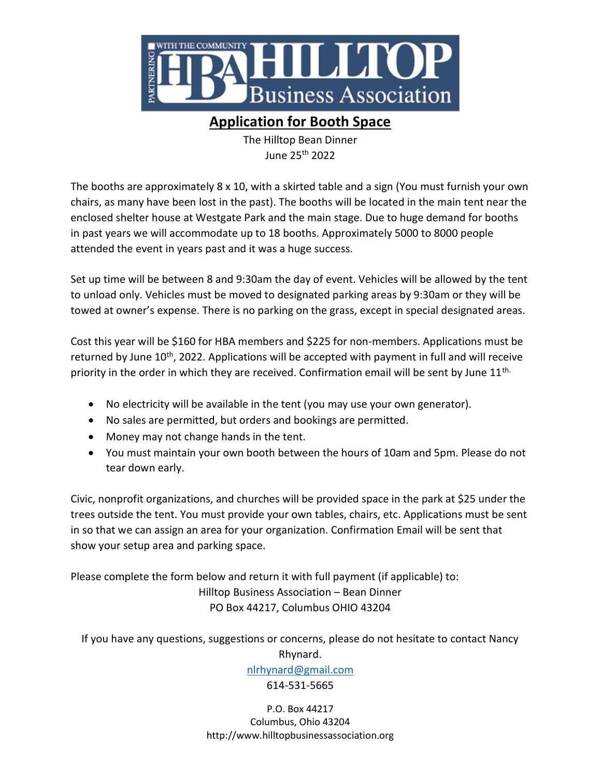

## Application for Booth Space

The Hilltop Bean Dinner June 25th 2022

The booths are approximately 8 x 10, with a skirted table and a sign (You must furnish your own chairs, as many have been lost in the past). The booths will be located in the main tent near the enclosed shelter house at Westgate Park and the main stage. Due to huge demand for booths in past years we will accommodate up to 18 booths. Approximately 5000 to 8000 people attended the event in years past and it was a huge success.

Set up time will be between 8 and 9:30am the day of event. Vehicles will be allowed by the tent to unload only. Vehicles must be moved to designated parking areas by 9:30am or they will be towed at owner's expense. There is no parking on the grass, except in special designated areas.

Cost this year will be \$160 for HBA members and \$225 for non-members. Applications must be returned by June  $10<sup>th</sup>$ , 2022. Applications will be accepted with payment in full and will receive priority in the order in which they are received. Confirmation email will be sent by June  $11<sup>th</sup>$ .

- No electricity will be available in the tent (you may use your own generator).
- No sales are permitted, but orders and bookings are permitted.
- Money may not change hands in the tent.
- You must maintain your own booth between the hours of 10am and 5pm. Please do not tear down early.

Civic, nonprofit organizations, and churches will be provided space in the park at \$25 under the trees outside the tent. You must provide your own tables, chairs, etc. Applications must be sent in so that we can assign an area for your organization. Confirmation Email will be sent that show your setup area and parking space.

Please complete the form below and return it with full payment (if applicable) to: Hilltop Business Association – Bean Dinner PO Box 44217, Columbus OHIO 43204

If you have any questions, suggestions or concerns, please do not hesitate to contact Nancy Rhynard.

nlrhynard@gmail.com

614-531-5665

P.O. Box 44217 Columbus, Ohio 43204 http://www.hilltopbusinessassociation.org